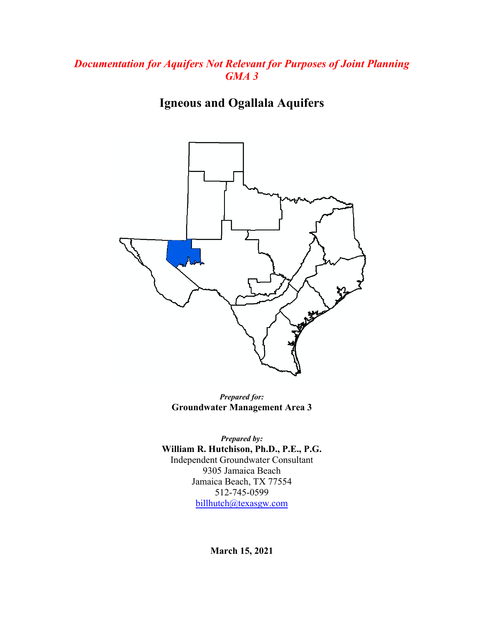## *Documentation for Aquifers Not Relevant for Purposes of Joint Planning GMA 3*

**Igneous and Ogallala Aquifers**



*Prepared for:* **Groundwater Management Area 3**

*Prepared by:* **William R. Hutchison, Ph.D., P.E., P.G.** Independent Groundwater Consultant 9305 Jamaica Beach Jamaica Beach, TX 77554 512-745-0599 [billhutch@texasgw.com](mailto:billhutch@texasgw.com)

**March 15, 2021**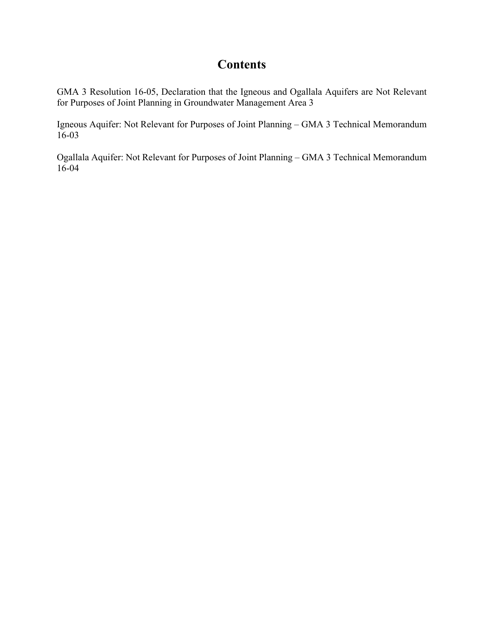## **Contents**

GMA 3 Resolution 16-05, Declaration that the Igneous and Ogallala Aquifers are Not Relevant for Purposes of Joint Planning in Groundwater Management Area 3

Igneous Aquifer: Not Relevant for Purposes of Joint Planning – GMA 3 Technical Memorandum 16-03

Ogallala Aquifer: Not Relevant for Purposes of Joint Planning – GMA 3 Technical Memorandum 16-04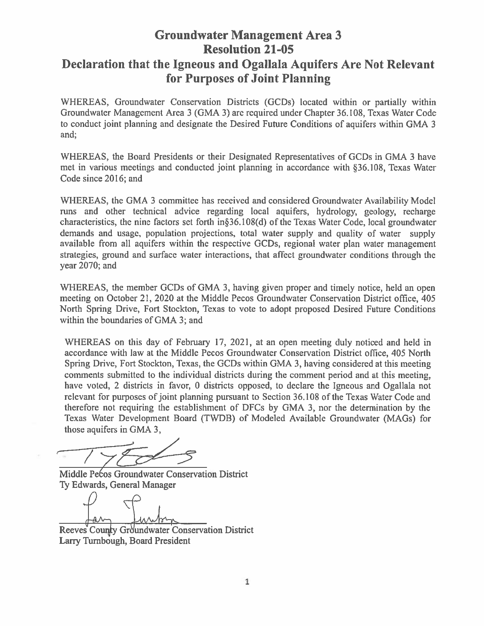# **Groundwater Management Area 3 Resolution 21-05** Declaration that the Igneous and Ogallala Aquifers Are Not Relevant for Purposes of Joint Planning

WHEREAS, Groundwater Conservation Districts (GCDs) located within or partially within Groundwater Management Area 3 (GMA 3) are required under Chapter 36.108, Texas Water Code to conduct joint planning and designate the Desired Future Conditions of aquifers within GMA 3 and;

WHEREAS, the Board Presidents or their Designated Representatives of GCDs in GMA 3 have met in various meetings and conducted joint planning in accordance with §36.108, Texas Water Code since 2016; and

WHEREAS, the GMA 3 committee has received and considered Groundwater Availability Model runs and other technical advice regarding local aquifers, hydrology, geology, recharge characteristics, the nine factors set forth in§36.108(d) of the Texas Water Code, local groundwater demands and usage, population projections, total water supply and quality of water supply available from all aquifers within the respective GCDs, regional water plan water management strategies, ground and surface water interactions, that affect groundwater conditions through the year 2070; and

WHEREAS, the member GCDs of GMA 3, having given proper and timely notice, held an open meeting on October 21, 2020 at the Middle Pecos Groundwater Conservation District office, 405 North Spring Drive, Fort Stockton, Texas to vote to adopt proposed Desired Future Conditions within the boundaries of GMA 3; and

WHEREAS on this day of February 17, 2021, at an open meeting duly noticed and held in accordance with law at the Middle Pecos Groundwater Conservation District office, 405 North Spring Drive, Fort Stockton, Texas, the GCDs within GMA 3, having considered at this meeting comments submitted to the individual districts during the comment period and at this meeting. have voted, 2 districts in favor, 0 districts opposed, to declare the Igneous and Ogallala not relevant for purposes of joint planning pursuant to Section 36.108 of the Texas Water Code and therefore not requiring the establishment of DFCs by GMA 3, nor the determination by the Texas Water Development Board (TWDB) of Modeled Available Groundwater (MAGs) for those aquifers in GMA 3,

Middle Pecos Groundwater Conservation District Ty Edwards, General Manager

Reeves County Groundwater Conservation District Larry Turnbough, Board President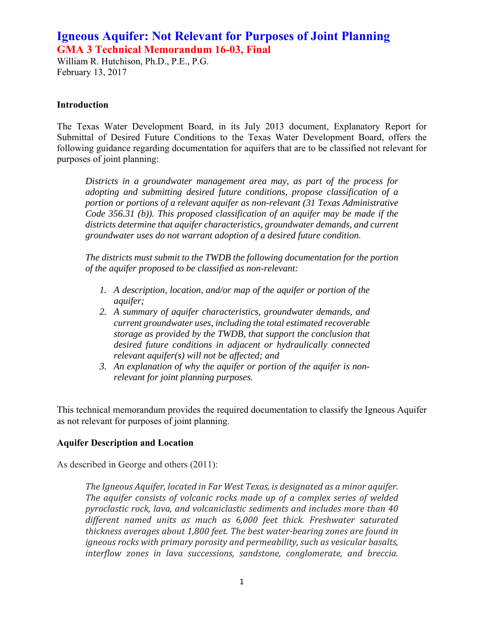## **Igneous Aquifer: Not Relevant for Purposes of Joint Planning GMA 3 Technical Memorandum 16-03, Final**

William R. Hutchison, Ph.D., P.E., P.G. February 13, 2017

#### **Introduction**

The Texas Water Development Board, in its July 2013 document, Explanatory Report for Submittal of Desired Future Conditions to the Texas Water Development Board, offers the following guidance regarding documentation for aquifers that are to be classified not relevant for purposes of joint planning:

*Districts in a groundwater management area may, as part of the process for adopting and submitting desired future conditions, propose classification of a portion or portions of a relevant aquifer as non-relevant (31 Texas Administrative Code 356.31 (b)). This proposed classification of an aquifer may be made if the districts determine that aquifer characteristics, groundwater demands, and current groundwater uses do not warrant adoption of a desired future condition.* 

*The districts must submit to the TWDB the following documentation for the portion of the aquifer proposed to be classified as non-relevant:* 

- *1. A description, location, and/or map of the aquifer or portion of the aquifer;*
- *2. A summary of aquifer characteristics, groundwater demands, and current groundwater uses, including the total estimated recoverable storage as provided by the TWDB, that support the conclusion that desired future conditions in adjacent or hydraulically connected relevant aquifer(s) will not be affected; and*
- *3. An explanation of why the aquifer or portion of the aquifer is nonrelevant for joint planning purposes.*

This technical memorandum provides the required documentation to classify the Igneous Aquifer as not relevant for purposes of joint planning.

#### **Aquifer Description and Location**

As described in George and others (2011):

*The Igneous Aquifer, located in Far West Texas, is designated as a minor aquifer. The aquifer consists of volcanic rocks made up of a complex series of welded pyroclastic rock, lava, and volcaniclastic sediments and includes more than 40 different named units as much as 6,000 feet thick. Freshwater saturated thickness averages about 1,800 feet. The best water‐bearing zones are found in igneous rocks with primary porosity and permeability, such as vesicular basalts, interflow zones in lava successions, sandstone, conglomerate, and breccia.*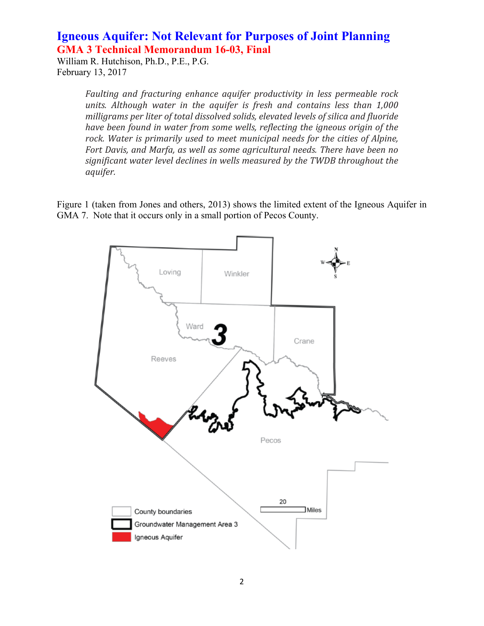## **Igneous Aquifer: Not Relevant for Purposes of Joint Planning GMA 3 Technical Memorandum 16-03, Final**

William R. Hutchison, Ph.D., P.E., P.G. February 13, 2017

> *Faulting and fracturing enhance aquifer productivity in less permeable rock units. Although water in the aquifer is fresh and contains less than 1,000 milligrams per liter of total dissolved solids, elevated levels of silica and fluoride have been found in water from some wells, reflecting the igneous origin of the rock. Water is primarily used to meet municipal needs for the cities of Alpine, Fort Davis, and Marfa, as well as some agricultural needs. There have been no significant water level declines in wells measured by the TWDB throughout the aquifer.*

Figure 1 (taken from Jones and others, 2013) shows the limited extent of the Igneous Aquifer in GMA 7. Note that it occurs only in a small portion of Pecos County.

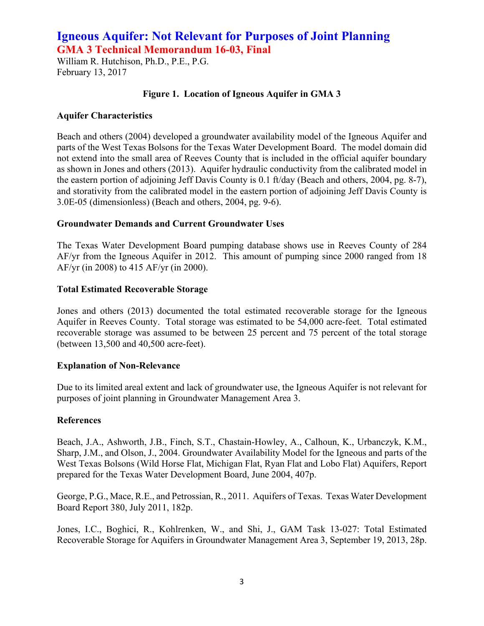## **Igneous Aquifer: Not Relevant for Purposes of Joint Planning GMA 3 Technical Memorandum 16-03, Final**

William R. Hutchison, Ph.D., P.E., P.G. February 13, 2017

### **Figure 1. Location of Igneous Aquifer in GMA 3**

### **Aquifer Characteristics**

Beach and others (2004) developed a groundwater availability model of the Igneous Aquifer and parts of the West Texas Bolsons for the Texas Water Development Board. The model domain did not extend into the small area of Reeves County that is included in the official aquifer boundary as shown in Jones and others (2013). Aquifer hydraulic conductivity from the calibrated model in the eastern portion of adjoining Jeff Davis County is 0.1 ft/day (Beach and others, 2004, pg. 8-7), and storativity from the calibrated model in the eastern portion of adjoining Jeff Davis County is 3.0E-05 (dimensionless) (Beach and others, 2004, pg. 9-6).

### **Groundwater Demands and Current Groundwater Uses**

The Texas Water Development Board pumping database shows use in Reeves County of 284 AF/yr from the Igneous Aquifer in 2012. This amount of pumping since 2000 ranged from 18 AF/yr (in 2008) to 415 AF/yr (in 2000).

### **Total Estimated Recoverable Storage**

Jones and others (2013) documented the total estimated recoverable storage for the Igneous Aquifer in Reeves County. Total storage was estimated to be 54,000 acre-feet. Total estimated recoverable storage was assumed to be between 25 percent and 75 percent of the total storage (between 13,500 and 40,500 acre-feet).

#### **Explanation of Non-Relevance**

Due to its limited areal extent and lack of groundwater use, the Igneous Aquifer is not relevant for purposes of joint planning in Groundwater Management Area 3.

#### **References**

Beach, J.A., Ashworth, J.B., Finch, S.T., Chastain-Howley, A., Calhoun, K., Urbanczyk, K.M., Sharp, J.M., and Olson, J., 2004. Groundwater Availability Model for the Igneous and parts of the West Texas Bolsons (Wild Horse Flat, Michigan Flat, Ryan Flat and Lobo Flat) Aquifers, Report prepared for the Texas Water Development Board, June 2004, 407p.

George, P.G., Mace, R.E., and Petrossian, R., 2011. Aquifers of Texas. Texas Water Development Board Report 380, July 2011, 182p.

Jones, I.C., Boghici, R., Kohlrenken, W., and Shi, J., GAM Task 13-027: Total Estimated Recoverable Storage for Aquifers in Groundwater Management Area 3, September 19, 2013, 28p.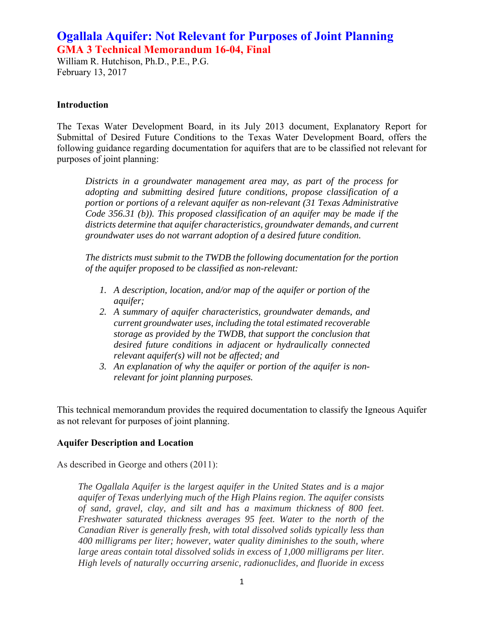## **Ogallala Aquifer: Not Relevant for Purposes of Joint Planning GMA 3 Technical Memorandum 16-04, Final**

William R. Hutchison, Ph.D., P.E., P.G. February 13, 2017

#### **Introduction**

The Texas Water Development Board, in its July 2013 document, Explanatory Report for Submittal of Desired Future Conditions to the Texas Water Development Board, offers the following guidance regarding documentation for aquifers that are to be classified not relevant for purposes of joint planning:

*Districts in a groundwater management area may, as part of the process for adopting and submitting desired future conditions, propose classification of a portion or portions of a relevant aquifer as non-relevant (31 Texas Administrative Code 356.31 (b)). This proposed classification of an aquifer may be made if the districts determine that aquifer characteristics, groundwater demands, and current groundwater uses do not warrant adoption of a desired future condition.* 

*The districts must submit to the TWDB the following documentation for the portion of the aquifer proposed to be classified as non-relevant:* 

- *1. A description, location, and/or map of the aquifer or portion of the aquifer;*
- *2. A summary of aquifer characteristics, groundwater demands, and current groundwater uses, including the total estimated recoverable storage as provided by the TWDB, that support the conclusion that desired future conditions in adjacent or hydraulically connected relevant aquifer(s) will not be affected; and*
- *3. An explanation of why the aquifer or portion of the aquifer is nonrelevant for joint planning purposes.*

This technical memorandum provides the required documentation to classify the Igneous Aquifer as not relevant for purposes of joint planning.

#### **Aquifer Description and Location**

As described in George and others (2011):

*The Ogallala Aquifer is the largest aquifer in the United States and is a major aquifer of Texas underlying much of the High Plains region. The aquifer consists of sand, gravel, clay, and silt and has a maximum thickness of 800 feet. Freshwater saturated thickness averages 95 feet. Water to the north of the Canadian River is generally fresh, with total dissolved solids typically less than 400 milligrams per liter; however, water quality diminishes to the south, where large areas contain total dissolved solids in excess of 1,000 milligrams per liter. High levels of naturally occurring arsenic, radionuclides, and fluoride in excess*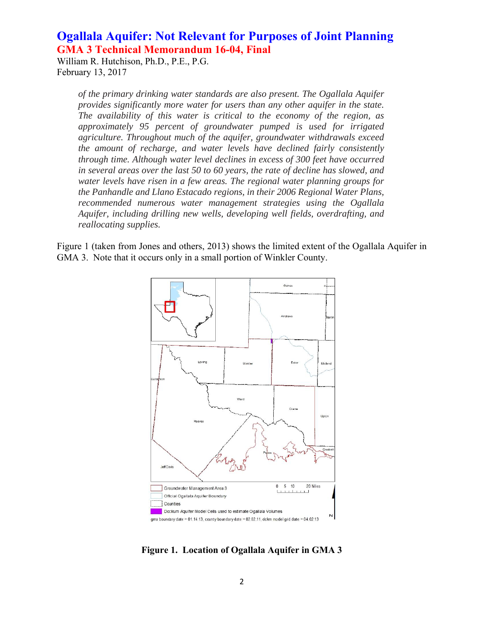## **Ogallala Aquifer: Not Relevant for Purposes of Joint Planning GMA 3 Technical Memorandum 16-04, Final**

William R. Hutchison, Ph.D., P.E., P.G. February 13, 2017

> *of the primary drinking water standards are also present. The Ogallala Aquifer provides significantly more water for users than any other aquifer in the state. The availability of this water is critical to the economy of the region, as approximately 95 percent of groundwater pumped is used for irrigated agriculture. Throughout much of the aquifer, groundwater withdrawals exceed the amount of recharge, and water levels have declined fairly consistently through time. Although water level declines in excess of 300 feet have occurred in several areas over the last 50 to 60 years, the rate of decline has slowed, and water levels have risen in a few areas. The regional water planning groups for the Panhandle and Llano Estacado regions, in their 2006 Regional Water Plans, recommended numerous water management strategies using the Ogallala Aquifer, including drilling new wells, developing well fields, overdrafting, and reallocating supplies.*

Figure 1 (taken from Jones and others, 2013) shows the limited extent of the Ogallala Aquifer in GMA 3. Note that it occurs only in a small portion of Winkler County.



**Figure 1. Location of Ogallala Aquifer in GMA 3**